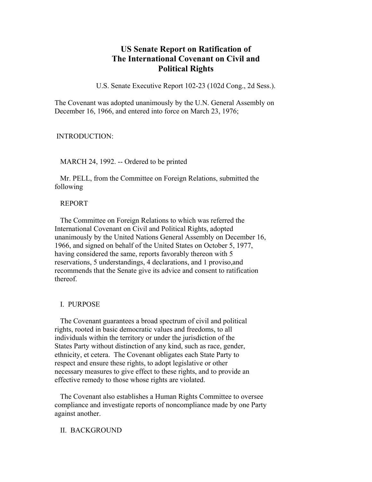# **US Senate Report on Ratification of The International Covenant on Civil and Political Rights**

U.S. Senate Executive Report 102-23 (102d Cong., 2d Sess.).

The Covenant was adopted unanimously by the U.N. General Assembly on December 16, 1966, and entered into force on March 23, 1976;

# INTRODUCTION:

# MARCH 24, 1992. -- Ordered to be printed

 Mr. PELL, from the Committee on Foreign Relations, submitted the following

# REPORT

 The Committee on Foreign Relations to which was referred the International Covenant on Civil and Political Rights, adopted unanimously by the United Nations General Assembly on December 16, 1966, and signed on behalf of the United States on October 5, 1977, having considered the same, reports favorably thereon with 5 reservations, 5 understandings, 4 declarations, and 1 proviso,and recommends that the Senate give its advice and consent to ratification thereof.

# I. PURPOSE

 The Covenant guarantees a broad spectrum of civil and political rights, rooted in basic democratic values and freedoms, to all individuals within the territory or under the jurisdiction of the States Party without distinction of any kind, such as race, gender, ethnicity, et cetera. The Covenant obligates each State Party to respect and ensure these rights, to adopt legislative or other necessary measures to give effect to these rights, and to provide an effective remedy to those whose rights are violated.

 The Covenant also establishes a Human Rights Committee to oversee compliance and investigate reports of noncompliance made by one Party against another.

# II. BACKGROUND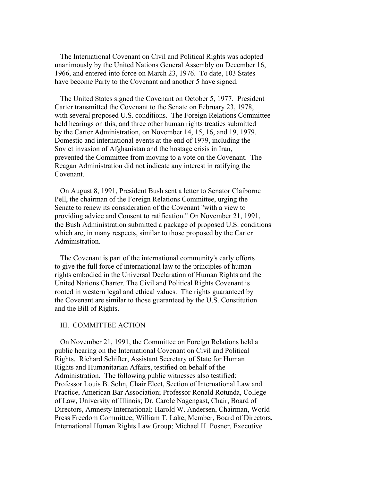The International Covenant on Civil and Political Rights was adopted unanimously by the United Nations General Assembly on December 16, 1966, and entered into force on March 23, 1976. To date, 103 States have become Party to the Covenant and another 5 have signed.

 The United States signed the Covenant on October 5, 1977. President Carter transmitted the Covenant to the Senate on February 23, 1978, with several proposed U.S. conditions. The Foreign Relations Committee held hearings on this, and three other human rights treaties submitted by the Carter Administration, on November 14, 15, 16, and 19, 1979. Domestic and international events at the end of 1979, including the Soviet invasion of Afghanistan and the hostage crisis in Iran, prevented the Committee from moving to a vote on the Covenant. The Reagan Administration did not indicate any interest in ratifying the Covenant.

 On August 8, 1991, President Bush sent a letter to Senator Claiborne Pell, the chairman of the Foreign Relations Committee, urging the Senate to renew its consideration of the Covenant "with a view to providing advice and Consent to ratification." On November 21, 1991, the Bush Administration submitted a package of proposed U.S. conditions which are, in many respects, similar to those proposed by the Carter Administration.

 The Covenant is part of the international community's early efforts to give the full force of international law to the principles of human rights embodied in the Universal Declaration of Human Rights and the United Nations Charter. The Civil and Political Rights Covenant is rooted in western legal and ethical values. The rights guaranteed by the Covenant are similar to those guaranteed by the U.S. Constitution and the Bill of Rights.

## III. COMMITTEE ACTION

 On November 21, 1991, the Committee on Foreign Relations held a public hearing on the International Covenant on Civil and Political Rights. Richard Schifter, Assistant Secretary of State for Human Rights and Humanitarian Affairs, testified on behalf of the Administration. The following public witnesses also testified: Professor Louis B. Sohn, Chair Elect, Section of International Law and Practice, American Bar Association; Professor Ronald Rotunda, College of Law, University of Illinois; Dr. Carole Nagengast, Chair, Board of Directors, Amnesty International; Harold W. Andersen, Chairman, World Press Freedom Committee; William T. Lake, Member, Board of Directors, International Human Rights Law Group; Michael H. Posner, Executive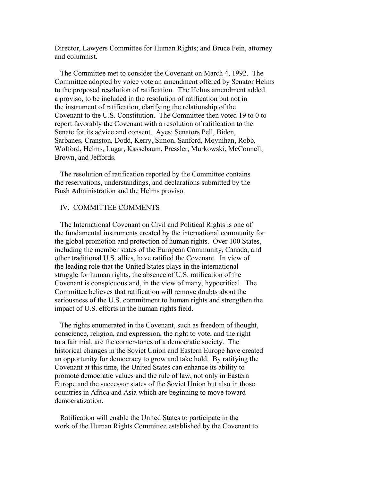Director, Lawyers Committee for Human Rights; and Bruce Fein, attorney and columnist.

 The Committee met to consider the Covenant on March 4, 1992. The Committee adopted by voice vote an amendment offered by Senator Helms to the proposed resolution of ratification. The Helms amendment added a proviso, to be included in the resolution of ratification but not in the instrument of ratification, clarifying the relationship of the Covenant to the U.S. Constitution. The Committee then voted 19 to 0 to report favorably the Covenant with a resolution of ratification to the Senate for its advice and consent. Ayes: Senators Pell, Biden, Sarbanes, Cranston, Dodd, Kerry, Simon, Sanford, Moynihan, Robb, Wofford, Helms, Lugar, Kassebaum, Pressler, Murkowski, McConnell, Brown, and Jeffords.

 The resolution of ratification reported by the Committee contains the reservations, understandings, and declarations submitted by the Bush Administration and the Helms proviso.

# IV. COMMITTEE COMMENTS

 The International Covenant on Civil and Political Rights is one of the fundamental instruments created by the international community for the global promotion and protection of human rights. Over 100 States, including the member states of the European Community, Canada, and other traditional U.S. allies, have ratified the Covenant. In view of the leading role that the United States plays in the international struggle for human rights, the absence of U.S. ratification of the Covenant is conspicuous and, in the view of many, hypocritical. The Committee believes that ratification will remove doubts about the seriousness of the U.S. commitment to human rights and strengthen the impact of U.S. efforts in the human rights field.

 The rights enumerated in the Covenant, such as freedom of thought, conscience, religion, and expression, the right to vote, and the right to a fair trial, are the cornerstones of a democratic society. The historical changes in the Soviet Union and Eastern Europe have created an opportunity for democracy to grow and take hold. By ratifying the Covenant at this time, the United States can enhance its ability to promote democratic values and the rule of law, not only in Eastern Europe and the successor states of the Soviet Union but also in those countries in Africa and Asia which are beginning to move toward democratization.

 Ratification will enable the United States to participate in the work of the Human Rights Committee established by the Covenant to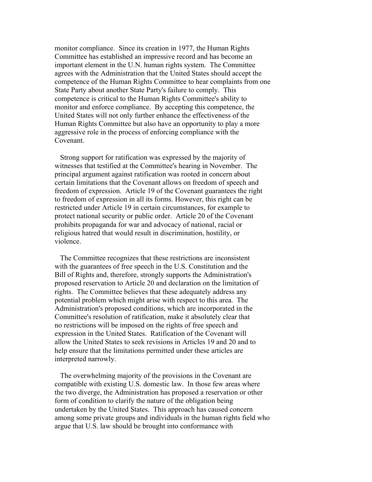monitor compliance. Since its creation in 1977, the Human Rights Committee has established an impressive record and has become an important element in the U.N. human rights system. The Committee agrees with the Administration that the United States should accept the competence of the Human Rights Committee to hear complaints from one State Party about another State Party's failure to comply. This competence is critical to the Human Rights Committee's ability to monitor and enforce compliance. By accepting this competence, the United States will not only further enhance the effectiveness of the Human Rights Committee but also have an opportunity to play a more aggressive role in the process of enforcing compliance with the Covenant.

 Strong support for ratification was expressed by the majority of witnesses that testified at the Committee's hearing in November. The principal argument against ratification was rooted in concern about certain limitations that the Covenant allows on freedom of speech and freedom of expression. Article 19 of the Covenant guarantees the right to freedom of expression in all its forms. However, this right can be restricted under Article 19 in certain circumstances, for example to protect national security or public order. Article 20 of the Covenant prohibits propaganda for war and advocacy of national, racial or religious hatred that would result in discrimination, hostility, or violence.

 The Committee recognizes that these restrictions are inconsistent with the guarantees of free speech in the U.S. Constitution and the Bill of Rights and, therefore, strongly supports the Administration's proposed reservation to Article 20 and declaration on the limitation of rights. The Committee believes that these adequately address any potential problem which might arise with respect to this area. The Administration's proposed conditions, which are incorporated in the Committee's resolution of ratification, make it absolutely clear that no restrictions will be imposed on the rights of free speech and expression in the United States. Ratification of the Covenant will allow the United States to seek revisions in Articles 19 and 20 and to help ensure that the limitations permitted under these articles are interpreted narrowly.

 The overwhelming majority of the provisions in the Covenant are compatible with existing U.S. domestic law. In those few areas where the two diverge, the Administration has proposed a reservation or other form of condition to clarify the nature of the obligation being undertaken by the United States. This approach has caused concern among some private groups and individuals in the human rights field who argue that U.S. law should be brought into conformance with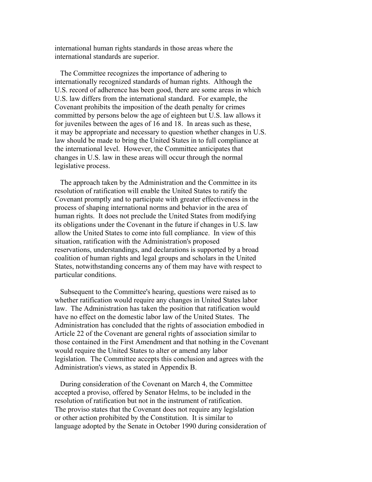international human rights standards in those areas where the international standards are superior.

 The Committee recognizes the importance of adhering to internationally recognized standards of human rights. Although the U.S. record of adherence has been good, there are some areas in which U.S. law differs from the international standard. For example, the Covenant prohibits the imposition of the death penalty for crimes committed by persons below the age of eighteen but U.S. law allows it for juveniles between the ages of 16 and 18. In areas such as these, it may be appropriate and necessary to question whether changes in U.S. law should be made to bring the United States in to full compliance at the international level. However, the Committee anticipates that changes in U.S. law in these areas will occur through the normal legislative process.

 The approach taken by the Administration and the Committee in its resolution of ratification will enable the United States to ratify the Covenant promptly and to participate with greater effectiveness in the process of shaping international norms and behavior in the area of human rights. It does not preclude the United States from modifying its obligations under the Covenant in the future if changes in U.S. law allow the United States to come into full compliance. In view of this situation, ratification with the Administration's proposed reservations, understandings, and declarations is supported by a broad coalition of human rights and legal groups and scholars in the United States, notwithstanding concerns any of them may have with respect to particular conditions.

 Subsequent to the Committee's hearing, questions were raised as to whether ratification would require any changes in United States labor law. The Administration has taken the position that ratification would have no effect on the domestic labor law of the United States. The Administration has concluded that the rights of association embodied in Article 22 of the Covenant are general rights of association similar to those contained in the First Amendment and that nothing in the Covenant would require the United States to alter or amend any labor legislation. The Committee accepts this conclusion and agrees with the Administration's views, as stated in Appendix B.

 During consideration of the Covenant on March 4, the Committee accepted a proviso, offered by Senator Helms, to be included in the resolution of ratification but not in the instrument of ratification. The proviso states that the Covenant does not require any legislation or other action prohibited by the Constitution. It is similar to language adopted by the Senate in October 1990 during consideration of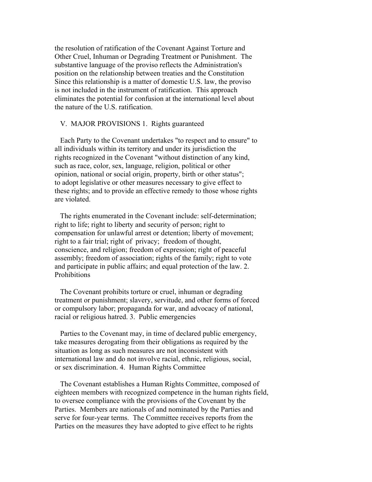the resolution of ratification of the Covenant Against Torture and Other Cruel, Inhuman or Degrading Treatment or Punishment. The substantive language of the proviso reflects the Administration's position on the relationship between treaties and the Constitution Since this relationship is a matter of domestic U.S. law, the proviso is not included in the instrument of ratification. This approach eliminates the potential for confusion at the international level about the nature of the U.S. ratification.

# V. MAJOR PROVISIONS 1. Rights guaranteed

 Each Party to the Covenant undertakes "to respect and to ensure" to all individuals within its territory and under its jurisdiction the rights recognized in the Covenant "without distinction of any kind, such as race, color, sex, language, religion, political or other opinion, national or social origin, property, birth or other status"; to adopt legislative or other measures necessary to give effect to these rights; and to provide an effective remedy to those whose rights are violated.

 The rights enumerated in the Covenant include: self-determination; right to life; right to liberty and security of person; right to compensation for unlawful arrest or detention; liberty of movement; right to a fair trial; right of privacy; freedom of thought, conscience, and religion; freedom of expression; right of peaceful assembly; freedom of association; rights of the family; right to vote and participate in public affairs; and equal protection of the law. 2. **Prohibitions** 

 The Covenant prohibits torture or cruel, inhuman or degrading treatment or punishment; slavery, servitude, and other forms of forced or compulsory labor; propaganda for war, and advocacy of national, racial or religious hatred. 3. Public emergencies

 Parties to the Covenant may, in time of declared public emergency, take measures derogating from their obligations as required by the situation as long as such measures are not inconsistent with international law and do not involve racial, ethnic, religious, social, or sex discrimination. 4. Human Rights Committee

 The Covenant establishes a Human Rights Committee, composed of eighteen members with recognized competence in the human rights field, to oversee compliance with the provisions of the Covenant by the Parties. Members are nationals of and nominated by the Parties and serve for four-year terms. The Committee receives reports from the Parties on the measures they have adopted to give effect to he rights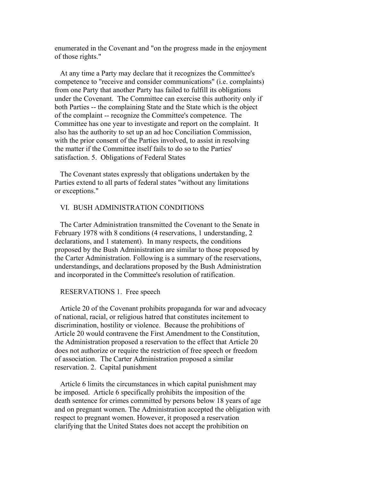enumerated in the Covenant and "on the progress made in the enjoyment of those rights."

 At any time a Party may declare that it recognizes the Committee's competence to "receive and consider communications" (i.e. complaints) from one Party that another Party has failed to fulfill its obligations under the Covenant. The Committee can exercise this authority only if both Parties -- the complaining State and the State which is the object of the complaint -- recognize the Committee's competence. The Committee has one year to investigate and report on the complaint. It also has the authority to set up an ad hoc Conciliation Commission, with the prior consent of the Parties involved, to assist in resolving the matter if the Committee itself fails to do so to the Parties' satisfaction. 5. Obligations of Federal States

 The Covenant states expressly that obligations undertaken by the Parties extend to all parts of federal states "without any limitations or exceptions."

# VI. BUSH ADMINISTRATION CONDITIONS

 The Carter Administration transmitted the Covenant to the Senate in February 1978 with 8 conditions (4 reservations, 1 understanding, 2 declarations, and 1 statement). In many respects, the conditions proposed by the Bush Administration are similar to those proposed by the Carter Administration. Following is a summary of the reservations, understandings, and declarations proposed by the Bush Administration and incorporated in the Committee's resolution of ratification.

#### RESERVATIONS 1. Free speech

 Article 20 of the Covenant prohibits propaganda for war and advocacy of national, racial, or religious hatred that constitutes incitement to discrimination, hostility or violence. Because the prohibitions of Article 20 would contravene the First Amendment to the Constitution, the Administration proposed a reservation to the effect that Article 20 does not authorize or require the restriction of free speech or freedom of association. The Carter Administration proposed a similar reservation. 2. Capital punishment

 Article 6 limits the circumstances in which capital punishment may be imposed. Article 6 specifically prohibits the imposition of the death sentence for crimes committed by persons below 18 years of age and on pregnant women. The Administration accepted the obligation with respect to pregnant women. However, it proposed a reservation clarifying that the United States does not accept the prohibition on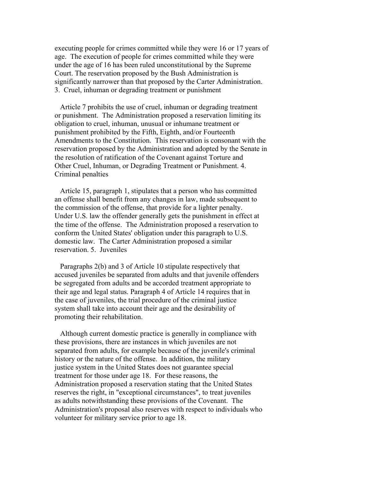executing people for crimes committed while they were 16 or 17 years of age. The execution of people for crimes committed while they were under the age of 16 has been ruled unconstitutional by the Supreme Court. The reservation proposed by the Bush Administration is significantly narrower than that proposed by the Carter Administration. 3. Cruel, inhuman or degrading treatment or punishment

 Article 7 prohibits the use of cruel, inhuman or degrading treatment or punishment. The Administration proposed a reservation limiting its obligation to cruel, inhuman, unusual or inhumane treatment or punishment prohibited by the Fifth, Eighth, and/or Fourteenth Amendments to the Constitution. This reservation is consonant with the reservation proposed by the Administration and adopted by the Senate in the resolution of ratification of the Covenant against Torture and Other Cruel, Inhuman, or Degrading Treatment or Punishment. 4. Criminal penalties

 Article 15, paragraph 1, stipulates that a person who has committed an offense shall benefit from any changes in law, made subsequent to the commission of the offense, that provide for a lighter penalty. Under U.S. law the offender generally gets the punishment in effect at the time of the offense. The Administration proposed a reservation to conform the United States' obligation under this paragraph to U.S. domestic law. The Carter Administration proposed a similar reservation. 5. Juveniles

 Paragraphs 2(b) and 3 of Article 10 stipulate respectively that accused juveniles be separated from adults and that juvenile offenders be segregated from adults and be accorded treatment appropriate to their age and legal status. Paragraph 4 of Article 14 requires that in the case of juveniles, the trial procedure of the criminal justice system shall take into account their age and the desirability of promoting their rehabilitation.

 Although current domestic practice is generally in compliance with these provisions, there are instances in which juveniles are not separated from adults, for example because of the juvenile's criminal history or the nature of the offense. In addition, the military justice system in the United States does not guarantee special treatment for those under age 18. For these reasons, the Administration proposed a reservation stating that the United States reserves the right, in "exceptional circumstances", to treat juveniles as adults notwithstanding these provisions of the Covenant. The Administration's proposal also reserves with respect to individuals who volunteer for military service prior to age 18.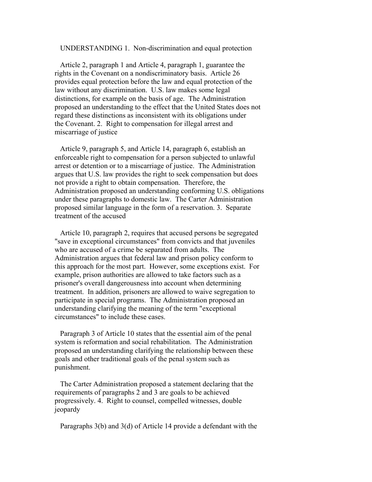UNDERSTANDING 1. Non-discrimination and equal protection

 Article 2, paragraph 1 and Article 4, paragraph 1, guarantee the rights in the Covenant on a nondiscriminatory basis. Article 26 provides equal protection before the law and equal protection of the law without any discrimination. U.S. law makes some legal distinctions, for example on the basis of age. The Administration proposed an understanding to the effect that the United States does not regard these distinctions as inconsistent with its obligations under the Covenant. 2. Right to compensation for illegal arrest and miscarriage of justice

 Article 9, paragraph 5, and Article 14, paragraph 6, establish an enforceable right to compensation for a person subjected to unlawful arrest or detention or to a miscarriage of justice. The Administration argues that U.S. law provides the right to seek compensation but does not provide a right to obtain compensation. Therefore, the Administration proposed an understanding conforming U.S. obligations under these paragraphs to domestic law. The Carter Administration proposed similar language in the form of a reservation. 3. Separate treatment of the accused

 Article 10, paragraph 2, requires that accused persons be segregated "save in exceptional circumstances" from convicts and that juveniles who are accused of a crime be separated from adults. The Administration argues that federal law and prison policy conform to this approach for the most part. However, some exceptions exist. For example, prison authorities are allowed to take factors such as a prisoner's overall dangerousness into account when determining treatment. In addition, prisoners are allowed to waive segregation to participate in special programs. The Administration proposed an understanding clarifying the meaning of the term "exceptional circumstances" to include these cases.

 Paragraph 3 of Article 10 states that the essential aim of the penal system is reformation and social rehabilitation. The Administration proposed an understanding clarifying the relationship between these goals and other traditional goals of the penal system such as punishment.

 The Carter Administration proposed a statement declaring that the requirements of paragraphs 2 and 3 are goals to be achieved progressively. 4. Right to counsel, compelled witnesses, double jeopardy

Paragraphs 3(b) and 3(d) of Article 14 provide a defendant with the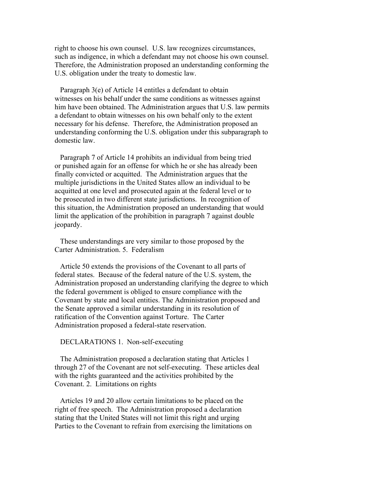right to choose his own counsel. U.S. law recognizes circumstances, such as indigence, in which a defendant may not choose his own counsel. Therefore, the Administration proposed an understanding conforming the U.S. obligation under the treaty to domestic law.

 Paragraph 3(e) of Article 14 entitles a defendant to obtain witnesses on his behalf under the same conditions as witnesses against him have been obtained. The Administration argues that U.S. law permits a defendant to obtain witnesses on his own behalf only to the extent necessary for his defense. Therefore, the Administration proposed an understanding conforming the U.S. obligation under this subparagraph to domestic law.

 Paragraph 7 of Article 14 prohibits an individual from being tried or punished again for an offense for which he or she has already been finally convicted or acquitted. The Administration argues that the multiple jurisdictions in the United States allow an individual to be acquitted at one level and prosecuted again at the federal level or to be prosecuted in two different state jurisdictions. In recognition of this situation, the Administration proposed an understanding that would limit the application of the prohibition in paragraph 7 against double jeopardy.

 These understandings are very similar to those proposed by the Carter Administration. 5. Federalism

 Article 50 extends the provisions of the Covenant to all parts of federal states. Because of the federal nature of the U.S. system, the Administration proposed an understanding clarifying the degree to which the federal government is obliged to ensure compliance with the Covenant by state and local entities. The Administration proposed and the Senate approved a similar understanding in its resolution of ratification of the Convention against Torture. The Carter Administration proposed a federal-state reservation.

# DECLARATIONS 1. Non-self-executing

 The Administration proposed a declaration stating that Articles 1 through 27 of the Covenant are not self-executing. These articles deal with the rights guaranteed and the activities prohibited by the Covenant. 2. Limitations on rights

 Articles 19 and 20 allow certain limitations to be placed on the right of free speech. The Administration proposed a declaration stating that the United States will not limit this right and urging Parties to the Covenant to refrain from exercising the limitations on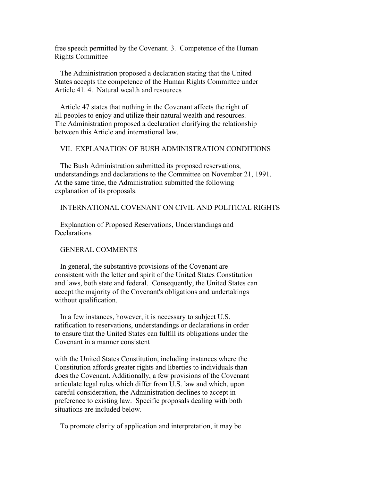free speech permitted by the Covenant. 3. Competence of the Human Rights Committee

 The Administration proposed a declaration stating that the United States accepts the competence of the Human Rights Committee under Article 41. 4. Natural wealth and resources

 Article 47 states that nothing in the Covenant affects the right of all peoples to enjoy and utilize their natural wealth and resources. The Administration proposed a declaration clarifying the relationship between this Article and international law.

# VII. EXPLANATION OF BUSH ADMINISTRATION CONDITIONS

 The Bush Administration submitted its proposed reservations, understandings and declarations to the Committee on November 21, 1991. At the same time, the Administration submitted the following explanation of its proposals.

# INTERNATIONAL COVENANT ON CIVIL AND POLITICAL RIGHTS

 Explanation of Proposed Reservations, Understandings and **Declarations** 

### GENERAL COMMENTS

 In general, the substantive provisions of the Covenant are consistent with the letter and spirit of the United States Constitution and laws, both state and federal. Consequently, the United States can accept the majority of the Covenant's obligations and undertakings without qualification.

 In a few instances, however, it is necessary to subject U.S. ratification to reservations, understandings or declarations in order to ensure that the United States can fulfill its obligations under the Covenant in a manner consistent

with the United States Constitution, including instances where the Constitution affords greater rights and liberties to individuals than does the Covenant. Additionally, a few provisions of the Covenant articulate legal rules which differ from U.S. law and which, upon careful consideration, the Administration declines to accept in preference to existing law. Specific proposals dealing with both situations are included below.

To promote clarity of application and interpretation, it may be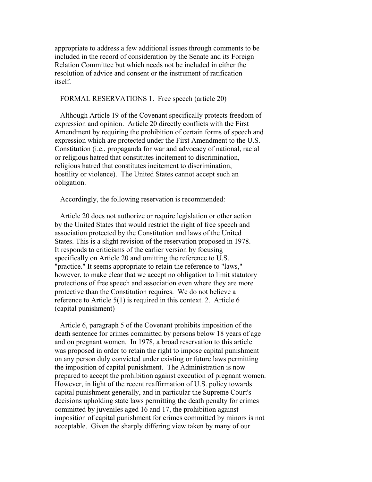appropriate to address a few additional issues through comments to be included in the record of consideration by the Senate and its Foreign Relation Committee but which needs not be included in either the resolution of advice and consent or the instrument of ratification itself.

FORMAL RESERVATIONS 1. Free speech (article 20)

 Although Article 19 of the Covenant specifically protects freedom of expression and opinion. Article 20 directly conflicts with the First Amendment by requiring the prohibition of certain forms of speech and expression which are protected under the First Amendment to the U.S. Constitution (i.e., propaganda for war and advocacy of national, racial or religious hatred that constitutes incitement to discrimination, religious hatred that constitutes incitement to discrimination, hostility or violence). The United States cannot accept such an obligation.

Accordingly, the following reservation is recommended:

 Article 20 does not authorize or require legislation or other action by the United States that would restrict the right of free speech and association protected by the Constitution and laws of the United States. This is a slight revision of the reservation proposed in 1978. It responds to criticisms of the earlier version by focusing specifically on Article 20 and omitting the reference to U.S. "practice." It seems appropriate to retain the reference to "laws," however, to make clear that we accept no obligation to limit statutory protections of free speech and association even where they are more protective than the Constitution requires. We do not believe a reference to Article 5(1) is required in this context. 2. Article 6 (capital punishment)

 Article 6, paragraph 5 of the Covenant prohibits imposition of the death sentence for crimes committed by persons below 18 years of age and on pregnant women. In 1978, a broad reservation to this article was proposed in order to retain the right to impose capital punishment on any person duly convicted under existing or future laws permitting the imposition of capital punishment. The Administration is now prepared to accept the prohibition against execution of pregnant women. However, in light of the recent reaffirmation of U.S. policy towards capital punishment generally, and in particular the Supreme Court's decisions upholding state laws permitting the death penalty for crimes committed by juveniles aged 16 and 17, the prohibition against imposition of capital punishment for crimes committed by minors is not acceptable. Given the sharply differing view taken by many of our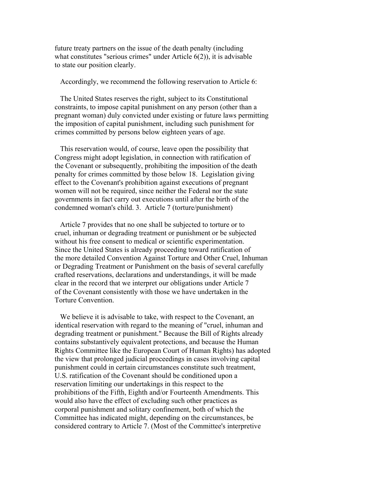future treaty partners on the issue of the death penalty (including what constitutes "serious crimes" under Article 6(2)), it is advisable to state our position clearly.

Accordingly, we recommend the following reservation to Article 6:

 The United States reserves the right, subject to its Constitutional constraints, to impose capital punishment on any person (other than a pregnant woman) duly convicted under existing or future laws permitting the imposition of capital punishment, including such punishment for crimes committed by persons below eighteen years of age.

 This reservation would, of course, leave open the possibility that Congress might adopt legislation, in connection with ratification of the Covenant or subsequently, prohibiting the imposition of the death penalty for crimes committed by those below 18. Legislation giving effect to the Covenant's prohibition against executions of pregnant women will not be required, since neither the Federal nor the state governments in fact carry out executions until after the birth of the condemned woman's child. 3. Article 7 (torture/punishment)

 Article 7 provides that no one shall be subjected to torture or to cruel, inhuman or degrading treatment or punishment or be subjected without his free consent to medical or scientific experimentation. Since the United States is already proceeding toward ratification of the more detailed Convention Against Torture and Other Cruel, Inhuman or Degrading Treatment or Punishment on the basis of several carefully crafted reservations, declarations and understandings, it will be made clear in the record that we interpret our obligations under Article 7 of the Covenant consistently with those we have undertaken in the Torture Convention.

 We believe it is advisable to take, with respect to the Covenant, an identical reservation with regard to the meaning of "cruel, inhuman and degrading treatment or punishment." Because the Bill of Rights already contains substantively equivalent protections, and because the Human Rights Committee like the European Court of Human Rights) has adopted the view that prolonged judicial proceedings in cases involving capital punishment could in certain circumstances constitute such treatment, U.S. ratification of the Covenant should be conditioned upon a reservation limiting our undertakings in this respect to the prohibitions of the Fifth, Eighth and/or Fourteenth Amendments. This would also have the effect of excluding such other practices as corporal punishment and solitary confinement, both of which the Committee has indicated might, depending on the circumstances, be considered contrary to Article 7. (Most of the Committee's interpretive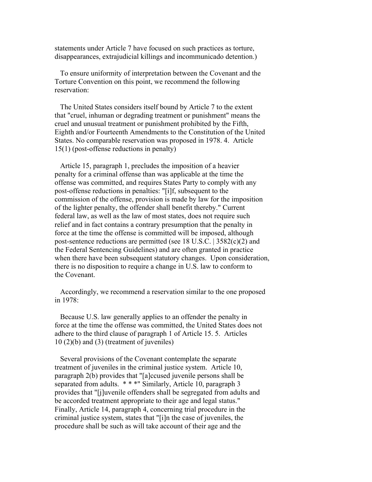statements under Article 7 have focused on such practices as torture, disappearances, extrajudicial killings and incommunicado detention.)

 To ensure uniformity of interpretation between the Covenant and the Torture Convention on this point, we recommend the following reservation:

 The United States considers itself bound by Article 7 to the extent that "cruel, inhuman or degrading treatment or punishment" means the cruel and unusual treatment or punishment prohibited by the Fifth, Eighth and/or Fourteenth Amendments to the Constitution of the United States. No comparable reservation was proposed in 1978. 4. Article 15(1) (post-offense reductions in penalty)

 Article 15, paragraph 1, precludes the imposition of a heavier penalty for a criminal offense than was applicable at the time the offense was committed, and requires States Party to comply with any post-offense reductions in penalties: "[i]f, subsequent to the commission of the offense, provision is made by law for the imposition of the lighter penalty, the offender shall benefit thereby." Current federal law, as well as the law of most states, does not require such relief and in fact contains a contrary presumption that the penalty in force at the time the offense is committed will be imposed, although post-sentence reductions are permitted (see 18 U.S.C. | 3582(c)(2) and the Federal Sentencing Guidelines) and are often granted in practice when there have been subsequent statutory changes. Upon consideration, there is no disposition to require a change in U.S. law to conform to the Covenant.

 Accordingly, we recommend a reservation similar to the one proposed in 1978:

 Because U.S. law generally applies to an offender the penalty in force at the time the offense was committed, the United States does not adhere to the third clause of paragraph 1 of Article 15. 5. Articles 10 (2)(b) and (3) (treatment of juveniles)

 Several provisions of the Covenant contemplate the separate treatment of juveniles in the criminal justice system. Article 10, paragraph 2(b) provides that "[a]ccused juvenile persons shall be separated from adults. \* \* \* " Similarly, Article 10, paragraph 3 provides that "[j]uvenile offenders shall be segregated from adults and be accorded treatment appropriate to their age and legal status." Finally, Article 14, paragraph 4, concerning trial procedure in the criminal justice system, states that "[i]n the case of juveniles, the procedure shall be such as will take account of their age and the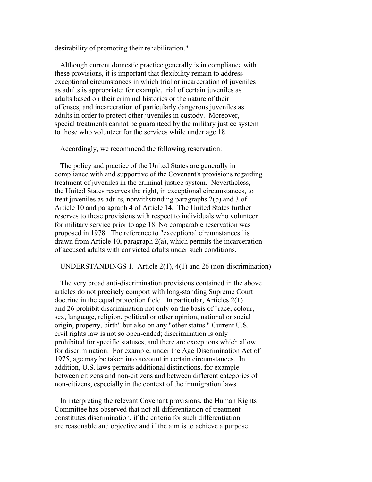desirability of promoting their rehabilitation."

 Although current domestic practice generally is in compliance with these provisions, it is important that flexibility remain to address exceptional circumstances in which trial or incarceration of juveniles as adults is appropriate: for example, trial of certain juveniles as adults based on their criminal histories or the nature of their offenses, and incarceration of particularly dangerous juveniles as adults in order to protect other juveniles in custody. Moreover, special treatments cannot be guaranteed by the military justice system to those who volunteer for the services while under age 18.

Accordingly, we recommend the following reservation:

 The policy and practice of the United States are generally in compliance with and supportive of the Covenant's provisions regarding treatment of juveniles in the criminal justice system. Nevertheless, the United States reserves the right, in exceptional circumstances, to treat juveniles as adults, notwithstanding paragraphs 2(b) and 3 of Article 10 and paragraph 4 of Article 14. The United States further reserves to these provisions with respect to individuals who volunteer for military service prior to age 18. No comparable reservation was proposed in 1978. The reference to "exceptional circumstances" is drawn from Article 10, paragraph 2(a), which permits the incarceration of accused adults with convicted adults under such conditions.

#### UNDERSTANDINGS 1. Article 2(1), 4(1) and 26 (non-discrimination)

 The very broad anti-discrimination provisions contained in the above articles do not precisely comport with long-standing Supreme Court doctrine in the equal protection field. In particular, Articles 2(1) and 26 prohibit discrimination not only on the basis of "race, colour, sex, language, religion, political or other opinion, national or social origin, property, birth" but also on any "other status." Current U.S. civil rights law is not so open-ended; discrimination is only prohibited for specific statuses, and there are exceptions which allow for discrimination. For example, under the Age Discrimination Act of 1975, age may be taken into account in certain circumstances. In addition, U.S. laws permits additional distinctions, for example between citizens and non-citizens and between different categories of non-citizens, especially in the context of the immigration laws.

 In interpreting the relevant Covenant provisions, the Human Rights Committee has observed that not all differentiation of treatment constitutes discrimination, if the criteria for such differentiation are reasonable and objective and if the aim is to achieve a purpose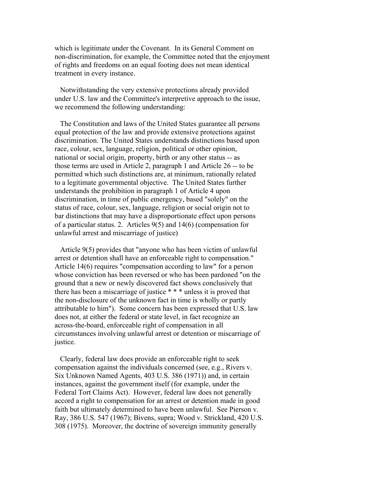which is legitimate under the Covenant. In its General Comment on non-discrimination, for example, the Committee noted that the enjoyment of rights and freedoms on an equal footing does not mean identical treatment in every instance.

 Notwithstanding the very extensive protections already provided under U.S. law and the Committee's interpretive approach to the issue, we recommend the following understanding:

 The Constitution and laws of the United States guarantee all persons equal protection of the law and provide extensive protections against discrimination. The United States understands distinctions based upon race, colour, sex, language, religion, political or other opinion, national or social origin, property, birth or any other status -- as those terms are used in Article 2, paragraph 1 and Article 26 -- to be permitted which such distinctions are, at minimum, rationally related to a legitimate governmental objective. The United States further understands the prohibition in paragraph 1 of Article 4 upon discrimination, in time of public emergency, based "solely" on the status of race, colour, sex, language, religion or social origin not to bar distinctions that may have a disproportionate effect upon persons of a particular status. 2. Articles 9(5) and 14(6) (compensation for unlawful arrest and miscarriage of justice)

 Article 9(5) provides that "anyone who has been victim of unlawful arrest or detention shall have an enforceable right to compensation." Article 14(6) requires "compensation according to law" for a person whose conviction has been reversed or who has been pardoned "on the ground that a new or newly discovered fact shows conclusively that there has been a miscarriage of justice \* \* \* unless it is proved that the non-disclosure of the unknown fact in time is wholly or partly attributable to him"). Some concern has been expressed that U.S. law does not, at either the federal or state level, in fact recognize an across-the-board, enforceable right of compensation in all circumstances involving unlawful arrest or detention or miscarriage of justice.

 Clearly, federal law does provide an enforceable right to seek compensation against the individuals concerned (see, e.g., Rivers v. Six Unknown Named Agents, 403 U.S. 386 (1971)) and, in certain instances, against the government itself (for example, under the Federal Tort Claims Act). However, federal law does not generally accord a right to compensation for an arrest or detention made in good faith but ultimately determined to have been unlawful. See Pierson v. Ray, 386 U.S. 547 (1967); Bivens, supra; Wood v. Strickland, 420 U.S. 308 (1975). Moreover, the doctrine of sovereign immunity generally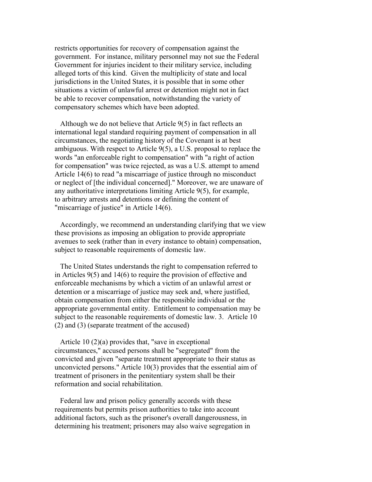restricts opportunities for recovery of compensation against the government. For instance, military personnel may not sue the Federal Government for injuries incident to their military service, including alleged torts of this kind. Given the multiplicity of state and local jurisdictions in the United States, it is possible that in some other situations a victim of unlawful arrest or detention might not in fact be able to recover compensation, notwithstanding the variety of compensatory schemes which have been adopted.

 Although we do not believe that Article 9(5) in fact reflects an international legal standard requiring payment of compensation in all circumstances, the negotiating history of the Covenant is at best ambiguous. With respect to Article 9(5), a U.S. proposal to replace the words "an enforceable right to compensation" with "a right of action for compensation" was twice rejected, as was a U.S. attempt to amend Article 14(6) to read "a miscarriage of justice through no misconduct or neglect of [the individual concerned]." Moreover, we are unaware of any authoritative interpretations limiting Article 9(5), for example, to arbitrary arrests and detentions or defining the content of "miscarriage of justice" in Article 14(6).

 Accordingly, we recommend an understanding clarifying that we view these provisions as imposing an obligation to provide appropriate avenues to seek (rather than in every instance to obtain) compensation, subject to reasonable requirements of domestic law.

 The United States understands the right to compensation referred to in Articles 9(5) and 14(6) to require the provision of effective and enforceable mechanisms by which a victim of an unlawful arrest or detention or a miscarriage of justice may seek and, where justified, obtain compensation from either the responsible individual or the appropriate governmental entity. Entitlement to compensation may be subject to the reasonable requirements of domestic law. 3. Article 10 (2) and (3) (separate treatment of the accused)

 Article 10 (2)(a) provides that, "save in exceptional circumstances," accused persons shall be "segregated" from the convicted and given "separate treatment appropriate to their status as unconvicted persons." Article 10(3) provides that the essential aim of treatment of prisoners in the penitentiary system shall be their reformation and social rehabilitation.

 Federal law and prison policy generally accords with these requirements but permits prison authorities to take into account additional factors, such as the prisoner's overall dangerousness, in determining his treatment; prisoners may also waive segregation in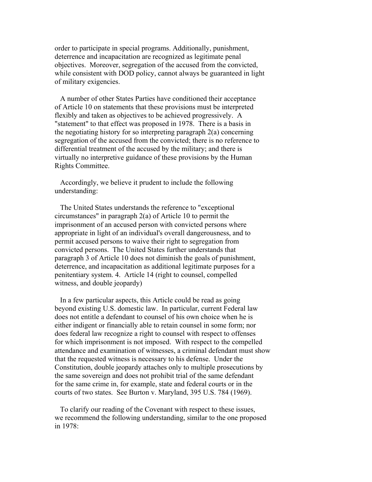order to participate in special programs. Additionally, punishment, deterrence and incapacitation are recognized as legitimate penal objectives. Moreover, segregation of the accused from the convicted, while consistent with DOD policy, cannot always be guaranteed in light of military exigencies.

 A number of other States Parties have conditioned their acceptance of Article 10 on statements that these provisions must be interpreted flexibly and taken as objectives to be achieved progressively. A "statement" to that effect was proposed in 1978. There is a basis in the negotiating history for so interpreting paragraph  $2(a)$  concerning segregation of the accused from the convicted; there is no reference to differential treatment of the accused by the military; and there is virtually no interpretive guidance of these provisions by the Human Rights Committee.

 Accordingly, we believe it prudent to include the following understanding:

 The United States understands the reference to "exceptional circumstances" in paragraph 2(a) of Article 10 to permit the imprisonment of an accused person with convicted persons where appropriate in light of an individual's overall dangerousness, and to permit accused persons to waive their right to segregation from convicted persons. The United States further understands that paragraph 3 of Article 10 does not diminish the goals of punishment, deterrence, and incapacitation as additional legitimate purposes for a penitentiary system. 4. Article 14 (right to counsel, compelled witness, and double jeopardy)

 In a few particular aspects, this Article could be read as going beyond existing U.S. domestic law. In particular, current Federal law does not entitle a defendant to counsel of his own choice when he is either indigent or financially able to retain counsel in some form; nor does federal law recognize a right to counsel with respect to offenses for which imprisonment is not imposed. With respect to the compelled attendance and examination of witnesses, a criminal defendant must show that the requested witness is necessary to his defense. Under the Constitution, double jeopardy attaches only to multiple prosecutions by the same sovereign and does not prohibit trial of the same defendant for the same crime in, for example, state and federal courts or in the courts of two states. See Burton v. Maryland, 395 U.S. 784 (1969).

 To clarify our reading of the Covenant with respect to these issues, we recommend the following understanding, similar to the one proposed in 1978: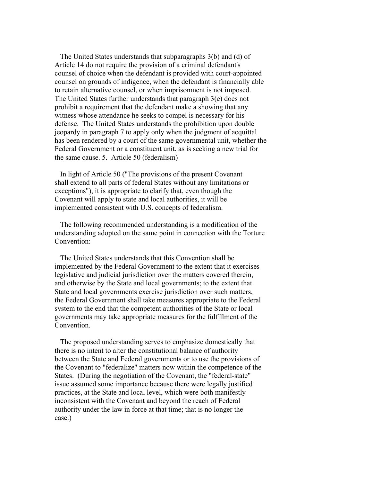The United States understands that subparagraphs 3(b) and (d) of Article 14 do not require the provision of a criminal defendant's counsel of choice when the defendant is provided with court-appointed counsel on grounds of indigence, when the defendant is financially able to retain alternative counsel, or when imprisonment is not imposed. The United States further understands that paragraph 3(e) does not prohibit a requirement that the defendant make a showing that any witness whose attendance he seeks to compel is necessary for his defense. The United States understands the prohibition upon double jeopardy in paragraph 7 to apply only when the judgment of acquittal has been rendered by a court of the same governmental unit, whether the Federal Government or a constituent unit, as is seeking a new trial for the same cause. 5. Article 50 (federalism)

 In light of Article 50 ("The provisions of the present Covenant shall extend to all parts of federal States without any limitations or exceptions"), it is appropriate to clarify that, even though the Covenant will apply to state and local authorities, it will be implemented consistent with U.S. concepts of federalism.

 The following recommended understanding is a modification of the understanding adopted on the same point in connection with the Torture Convention:

 The United States understands that this Convention shall be implemented by the Federal Government to the extent that it exercises legislative and judicial jurisdiction over the matters covered therein, and otherwise by the State and local governments; to the extent that State and local governments exercise jurisdiction over such matters, the Federal Government shall take measures appropriate to the Federal system to the end that the competent authorities of the State or local governments may take appropriate measures for the fulfillment of the Convention.

 The proposed understanding serves to emphasize domestically that there is no intent to alter the constitutional balance of authority between the State and Federal governments or to use the provisions of the Covenant to "federalize" matters now within the competence of the States. (During the negotiation of the Covenant, the "federal-state" issue assumed some importance because there were legally justified practices, at the State and local level, which were both manifestly inconsistent with the Covenant and beyond the reach of Federal authority under the law in force at that time; that is no longer the case.)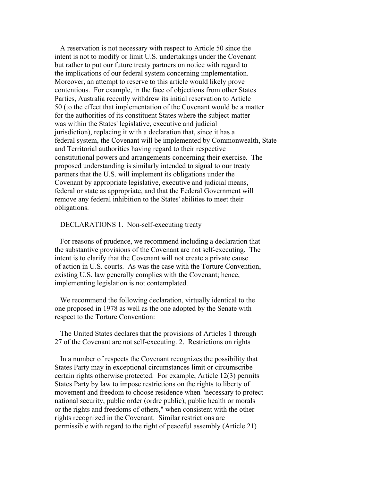A reservation is not necessary with respect to Article 50 since the intent is not to modify or limit U.S. undertakings under the Covenant but rather to put our future treaty partners on notice with regard to the implications of our federal system concerning implementation. Moreover, an attempt to reserve to this article would likely prove contentious. For example, in the face of objections from other States Parties, Australia recently withdrew its initial reservation to Article 50 (to the effect that implementation of the Covenant would be a matter for the authorities of its constituent States where the subject-matter was within the States' legislative, executive and judicial jurisdiction), replacing it with a declaration that, since it has a federal system, the Covenant will be implemented by Commonwealth, State and Territorial authorities having regard to their respective constitutional powers and arrangements concerning their exercise. The proposed understanding is similarly intended to signal to our treaty partners that the U.S. will implement its obligations under the Covenant by appropriate legislative, executive and judicial means, federal or state as appropriate, and that the Federal Government will remove any federal inhibition to the States' abilities to meet their obligations.

#### DECLARATIONS 1. Non-self-executing treaty

 For reasons of prudence, we recommend including a declaration that the substantive provisions of the Covenant are not self-executing. The intent is to clarify that the Covenant will not create a private cause of action in U.S. courts. As was the case with the Torture Convention, existing U.S. law generally complies with the Covenant; hence, implementing legislation is not contemplated.

 We recommend the following declaration, virtually identical to the one proposed in 1978 as well as the one adopted by the Senate with respect to the Torture Convention:

 The United States declares that the provisions of Articles 1 through 27 of the Covenant are not self-executing. 2. Restrictions on rights

 In a number of respects the Covenant recognizes the possibility that States Party may in exceptional circumstances limit or circumscribe certain rights otherwise protected. For example, Article 12(3) permits States Party by law to impose restrictions on the rights to liberty of movement and freedom to choose residence when "necessary to protect national security, public order (ordre public), public health or morals or the rights and freedoms of others," when consistent with the other rights recognized in the Covenant. Similar restrictions are permissible with regard to the right of peaceful assembly (Article 21)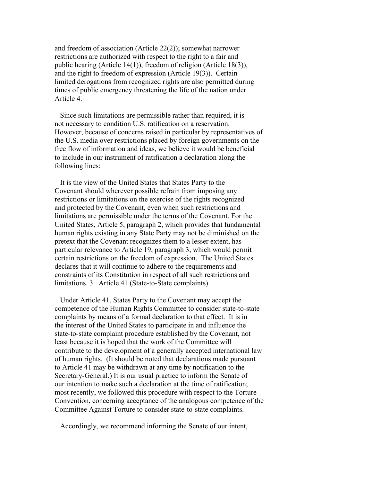and freedom of association (Article 22(2)); somewhat narrower restrictions are authorized with respect to the right to a fair and public hearing (Article 14(1)), freedom of religion (Article 18(3)), and the right to freedom of expression (Article 19(3)). Certain limited derogations from recognized rights are also permitted during times of public emergency threatening the life of the nation under Article 4.

 Since such limitations are permissible rather than required, it is not necessary to condition U.S. ratification on a reservation. However, because of concerns raised in particular by representatives of the U.S. media over restrictions placed by foreign governments on the free flow of information and ideas, we believe it would be beneficial to include in our instrument of ratification a declaration along the following lines:

 It is the view of the United States that States Party to the Covenant should wherever possible refrain from imposing any restrictions or limitations on the exercise of the rights recognized and protected by the Covenant, even when such restrictions and limitations are permissible under the terms of the Covenant. For the United States, Article 5, paragraph 2, which provides that fundamental human rights existing in any State Party may not be diminished on the pretext that the Covenant recognizes them to a lesser extent, has particular relevance to Article 19, paragraph 3, which would permit certain restrictions on the freedom of expression. The United States declares that it will continue to adhere to the requirements and constraints of its Constitution in respect of all such restrictions and limitations. 3. Article 41 (State-to-State complaints)

 Under Article 41, States Party to the Covenant may accept the competence of the Human Rights Committee to consider state-to-state complaints by means of a formal declaration to that effect. It is in the interest of the United States to participate in and influence the state-to-state complaint procedure established by the Covenant, not least because it is hoped that the work of the Committee will contribute to the development of a generally accepted international law of human rights. (It should be noted that declarations made pursuant to Article 41 may be withdrawn at any time by notification to the Secretary-General.) It is our usual practice to inform the Senate of our intention to make such a declaration at the time of ratification; most recently, we followed this procedure with respect to the Torture Convention, concerning acceptance of the analogous competence of the Committee Against Torture to consider state-to-state complaints.

Accordingly, we recommend informing the Senate of our intent,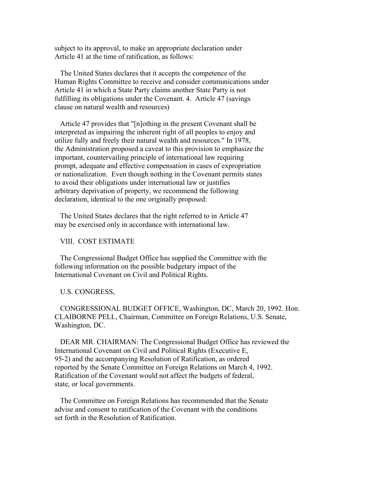subject to its approval, to make an appropriate declaration under Article 41 at the time of ratification, as follows:

 The United States declares that it accepts the competence of the Human Rights Committee to receive and consider communications under Article 41 in which a State Party claims another State Party is not fulfilling its obligations under the Covenant. 4. Article 47 (savings clause on natural wealth and resources)

 Article 47 provides that "[n]othing in the present Covenant shall be interpreted as impairing the inherent right of all peoples to enjoy and utilize fully and freely their natural wealth and resources." In 1978, the Administration proposed a caveat to this provision to emphasize the important, countervailing principle of international law requiring prompt, adequate and effective compensation in cases of expropriation or nationalization. Even though nothing in the Covenant permits states to avoid their obligations under international law or justifies arbitrary deprivation of property, we recommend the following declaration, identical to the one originally proposed:

 The United States declares that the right referred to in Article 47 may be exercised only in accordance with international law.

#### VIII. COST ESTIMATE

 The Congressional Budget Office has supplied the Committee with the following information on the possible budgetary impact of the International Covenant on Civil and Political Rights.

# U.S. CONGRESS,

 CONGRESSIONAL BUDGET OFFICE, Washington, DC, March 20, 1992. Hon. CLAIBORNE PELL, Chairman, Committee on Foreign Relations, U.S. Senate, Washington, DC.

 DEAR MR. CHAIRMAN: The Congressional Budget Office has reviewed the International Covenant on Civil and Political Rights (Executive E, 95-2) and the accompanying Resolution of Ratification, as ordered reported by the Senate Committee on Foreign Relations on March 4, 1992. Ratification of the Covenant would not affect the budgets of federal, state, or local governments.

 The Committee on Foreign Relations has recommended that the Senate advise and consent to ratification of the Covenant with the conditions set forth in the Resolution of Ratification.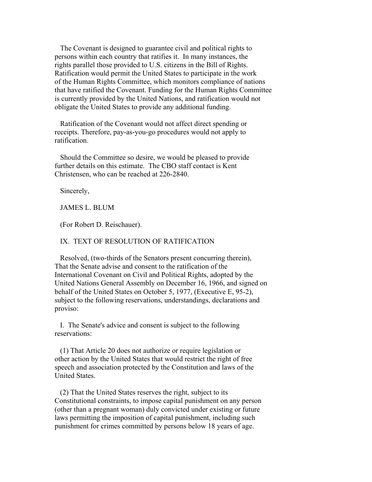The Covenant is designed to guarantee civil and political rights to persons within each country that ratifies it. In many instances, the rights parallel those provided to U.S. citizens in the Bill of Rights. Ratification would permit the United States to participate in the work of the Human Rights Committee, which monitors compliance of nations that have ratified the Covenant. Funding for the Human Rights Committee is currently provided by the United Nations, and ratification would not obligate the United States to provide any additional funding.

 Ratification of the Covenant would not affect direct spending or receipts. Therefore, pay-as-you-go procedures would not apply to ratification.

 Should the Committee so desire, we would be pleased to provide further details on this estimate. The CBO staff contact is Kent Christensen, who can be reached at 226-2840.

Sincerely,

JAMES L. BLUM

(For Robert D. Reischauer).

#### IX. TEXT OF RESOLUTION OF RATIFICATION

 Resolved, (two-thirds of the Senators present concurring therein), That the Senate advise and consent to the ratification of the International Covenant on Civil and Political Rights, adopted by the United Nations General Assembly on December 16, 1966, and signed on behalf of the United States on October 5, 1977, (Executive E, 95-2), subject to the following reservations, understandings, declarations and proviso:

 I. The Senate's advice and consent is subject to the following reservations:

 (1) That Article 20 does not authorize or require legislation or other action by the United States that would restrict the right of free speech and association protected by the Constitution and laws of the United States.

 (2) That the United States reserves the right, subject to its Constitutional constraints, to impose capital punishment on any person (other than a pregnant woman) duly convicted under existing or future laws permitting the imposition of capital punishment, including such punishment for crimes committed by persons below 18 years of age.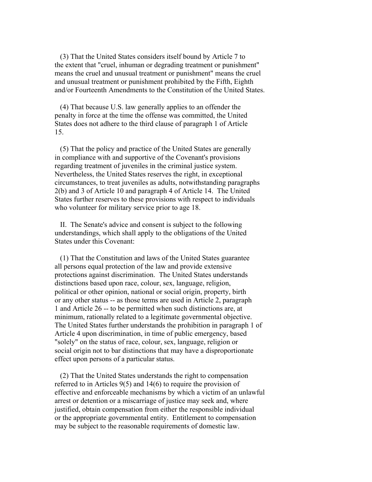(3) That the United States considers itself bound by Article 7 to the extent that "cruel, inhuman or degrading treatment or punishment" means the cruel and unusual treatment or punishment" means the cruel and unusual treatment or punishment prohibited by the Fifth, Eighth and/or Fourteenth Amendments to the Constitution of the United States.

 (4) That because U.S. law generally applies to an offender the penalty in force at the time the offense was committed, the United States does not adhere to the third clause of paragraph 1 of Article 15.

 (5) That the policy and practice of the United States are generally in compliance with and supportive of the Covenant's provisions regarding treatment of juveniles in the criminal justice system. Nevertheless, the United States reserves the right, in exceptional circumstances, to treat juveniles as adults, notwithstanding paragraphs 2(b) and 3 of Article 10 and paragraph 4 of Article 14. The United States further reserves to these provisions with respect to individuals who volunteer for military service prior to age 18.

 II. The Senate's advice and consent is subject to the following understandings, which shall apply to the obligations of the United States under this Covenant:

 (1) That the Constitution and laws of the United States guarantee all persons equal protection of the law and provide extensive protections against discrimination. The United States understands distinctions based upon race, colour, sex, language, religion, political or other opinion, national or social origin, property, birth or any other status -- as those terms are used in Article 2, paragraph 1 and Article 26 -- to be permitted when such distinctions are, at minimum, rationally related to a legitimate governmental objective. The United States further understands the prohibition in paragraph 1 of Article 4 upon discrimination, in time of public emergency, based "solely" on the status of race, colour, sex, language, religion or social origin not to bar distinctions that may have a disproportionate effect upon persons of a particular status.

 (2) That the United States understands the right to compensation referred to in Articles 9(5) and 14(6) to require the provision of effective and enforceable mechanisms by which a victim of an unlawful arrest or detention or a miscarriage of justice may seek and, where justified, obtain compensation from either the responsible individual or the appropriate governmental entity. Entitlement to compensation may be subject to the reasonable requirements of domestic law.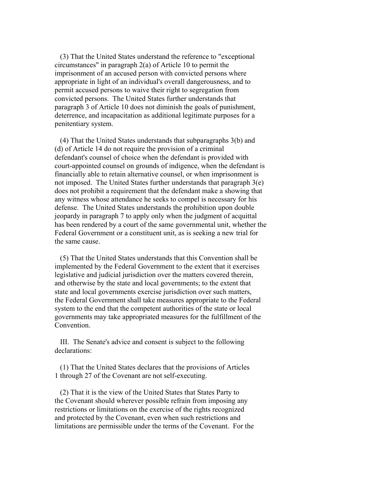(3) That the United States understand the reference to "exceptional circumstances" in paragraph 2(a) of Article 10 to permit the imprisonment of an accused person with convicted persons where appropriate in light of an individual's overall dangerousness, and to permit accused persons to waive their right to segregation from convicted persons. The United States further understands that paragraph 3 of Article 10 does not diminish the goals of punishment, deterrence, and incapacitation as additional legitimate purposes for a penitentiary system.

 (4) That the United States understands that subparagraphs 3(b) and (d) of Article 14 do not require the provision of a criminal defendant's counsel of choice when the defendant is provided with court-appointed counsel on grounds of indigence, when the defendant is financially able to retain alternative counsel, or when imprisonment is not imposed. The United States further understands that paragraph 3(e) does not prohibit a requirement that the defendant make a showing that any witness whose attendance he seeks to compel is necessary for his defense. The United States understands the prohibition upon double jeopardy in paragraph 7 to apply only when the judgment of acquittal has been rendered by a court of the same governmental unit, whether the Federal Government or a constituent unit, as is seeking a new trial for the same cause.

 (5) That the United States understands that this Convention shall be implemented by the Federal Government to the extent that it exercises legislative and judicial jurisdiction over the matters covered therein, and otherwise by the state and local governments; to the extent that state and local governments exercise jurisdiction over such matters, the Federal Government shall take measures appropriate to the Federal system to the end that the competent authorities of the state or local governments may take appropriated measures for the fulfillment of the Convention.

 III. The Senate's advice and consent is subject to the following declarations:

 (1) That the United States declares that the provisions of Articles 1 through 27 of the Covenant are not self-executing.

 (2) That it is the view of the United States that States Party to the Covenant should wherever possible refrain from imposing any restrictions or limitations on the exercise of the rights recognized and protected by the Covenant, even when such restrictions and limitations are permissible under the terms of the Covenant. For the